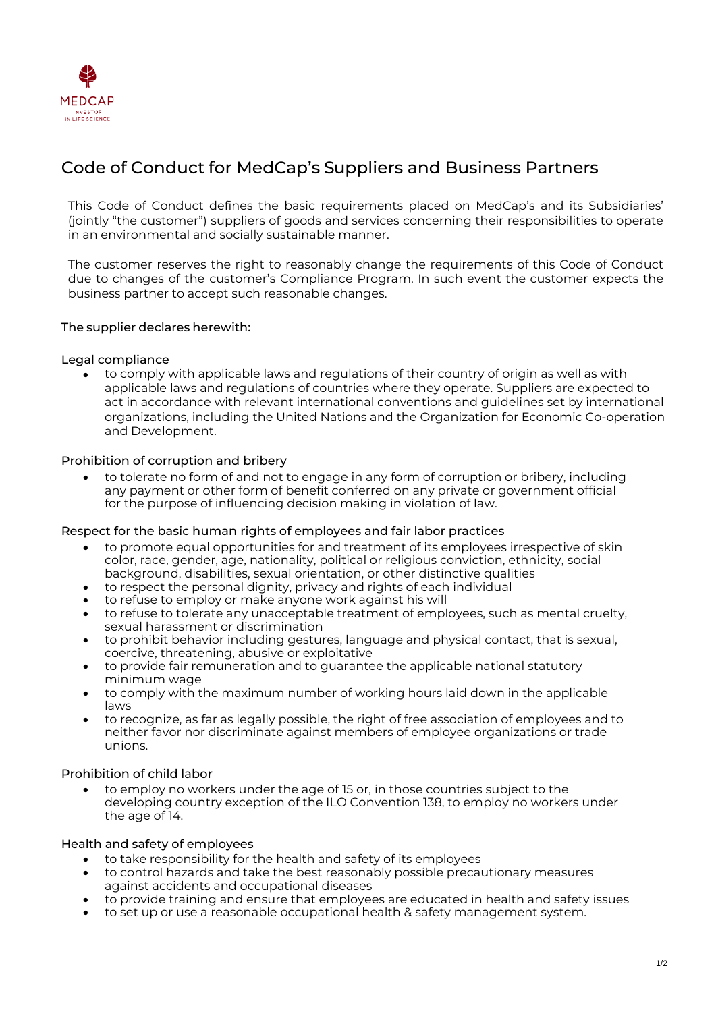

# Code of Conduct for MedCap's Suppliers and Business Partners

This Code of Conduct defines the basic requirements placed on MedCap's and its Subsidiaries' (jointly "the customer") suppliers of goods and services concerning their responsibilities to operate in an environmental and socially sustainable manner.

The customer reserves the right to reasonably change the requirements of this Code of Conduct due to changes of the customer's Compliance Program. In such event the customer expects the business partner to accept such reasonable changes.

# The supplier declares herewith:

# Legal compliance

• to comply with applicable laws and regulations of their country of origin as well as with applicable laws and regulations of countries where they operate. Suppliers are expected to act in accordance with relevant international conventions and guidelines set by international organizations, including the United Nations and the Organization for Economic Co-operation and Development.

#### Prohibition of corruption and bribery

• to tolerate no form of and not to engage in any form of corruption or bribery, including any payment or other form of benefit conferred on any private or government official for the purpose of influencing decision making in violation of law.

#### Respect for the basic human rights of employees and fair labor practices

- to promote equal opportunities for and treatment of its employees irrespective of skin color, race, gender, age, nationality, political or religious conviction, ethnicity, social background, disabilities, sexual orientation, or other distinctive qualities
- to respect the personal dignity, privacy and rights of each individual
- to refuse to employ or make anyone work against his will
- to refuse to tolerate any unacceptable treatment of employees, such as mental cruelty, sexual harassment or discrimination
- to prohibit behavior including gestures, language and physical contact, that is sexual, coercive, threatening, abusive or exploitative
- to provide fair remuneration and to guarantee the applicable national statutory minimum wage
- to comply with the maximum number of working hours laid down in the applicable laws
- to recognize, as far as legally possible, the right of free association of employees and to neither favor nor discriminate against members of employee organizations or trade unions.

# Prohibition of child labor

• to employ no workers under the age of 15 or, in those countries subject to the developing country exception of the ILO Convention 138, to employ no workers under the age of 14.

# Health and safety of employees

- to take responsibility for the health and safety of its employees
- to control hazards and take the best reasonably possible precautionary measures against accidents and occupational diseases
- to provide training and ensure that employees are educated in health and safety issues
- to set up or use a reasonable occupational health & safety management system.